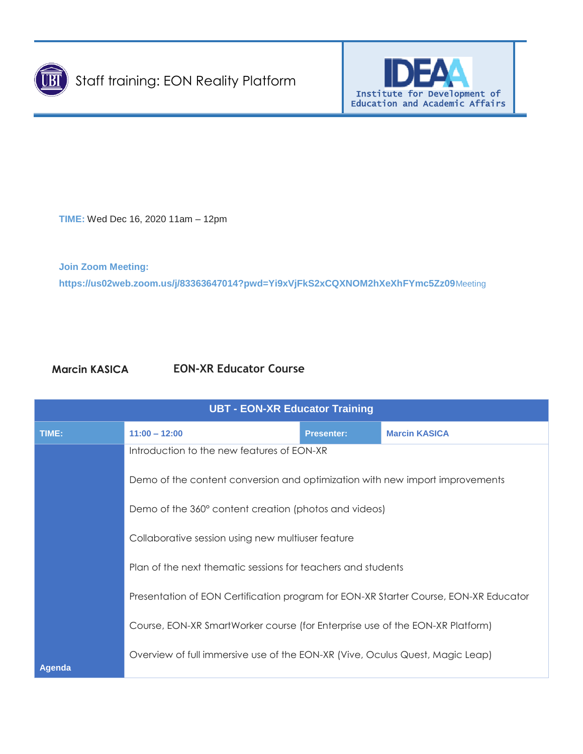



**TIME:** Wed Dec 16, 2020 11am – 12pm

**Join Zoom Meeting: https://us02web.zoom.us/j/83363647014?pwd=Yi9xVjFkS2xCQXNOM2hXeXhFYmc5Zz09**Meeting

## **Marcin KASICA EON-XR Educator Course**

| <b>UBT - EON-XR Educator Training</b> |                                                                                                                                                                                     |                   |                      |  |  |
|---------------------------------------|-------------------------------------------------------------------------------------------------------------------------------------------------------------------------------------|-------------------|----------------------|--|--|
| TIME:                                 | $11:00 - 12:00$                                                                                                                                                                     | <b>Presenter:</b> | <b>Marcin KASICA</b> |  |  |
|                                       | Introduction to the new features of EON-XR<br>Demo of the content conversion and optimization with new import improvements<br>Demo of the 360° content creation (photos and videos) |                   |                      |  |  |
|                                       |                                                                                                                                                                                     |                   |                      |  |  |
|                                       |                                                                                                                                                                                     |                   |                      |  |  |
|                                       | Collaborative session using new multiuser feature                                                                                                                                   |                   |                      |  |  |
|                                       | Plan of the next thematic sessions for teachers and students<br>Presentation of EON Certification program for EON-XR Starter Course, EON-XR Educator                                |                   |                      |  |  |
|                                       |                                                                                                                                                                                     |                   |                      |  |  |
|                                       | Course, EON-XR SmartWorker course (for Enterprise use of the EON-XR Platform)                                                                                                       |                   |                      |  |  |
| <b>Agenda</b>                         | Overview of full immersive use of the EON-XR (Vive, Oculus Quest, Magic Leap)                                                                                                       |                   |                      |  |  |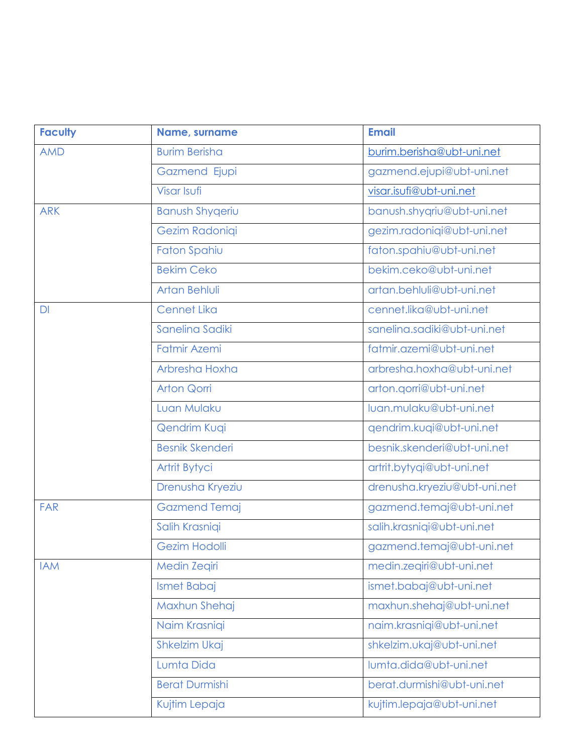| <b>Faculty</b> | Name, surname          | <b>Email</b>                 |
|----------------|------------------------|------------------------------|
| <b>AMD</b>     | <b>Burim Berisha</b>   | burim.berisha@ubt-uni.net    |
|                | <b>Gazmend Ejupi</b>   | gazmend.ejupi@ubt-uni.net    |
|                | Visar Isufi            | visar.isufi@ubt-uni.net      |
| <b>ARK</b>     | <b>Banush Shygeriu</b> | banush.shyqriu@ubt-uni.net   |
|                | Gezim Radoniqi         | gezim.radoniqi@ubt-uni.net   |
|                | Faton Spahiu           | faton.spahiu@ubt-uni.net     |
|                | <b>Bekim Ceko</b>      | bekim.ceko@ubt-uni.net       |
|                | Artan Behluli          | artan.behluli@ubt-uni.net    |
| DI             | <b>Cennet Lika</b>     | cennet.lika@ubt-uni.net      |
|                | Sanelina Sadiki        | sanelina.sadiki@ubt-uni.net  |
|                | Fatmir Azemi           | fatmir.azemi@ubt-uni.net     |
|                | Arbresha Hoxha         | arbresha.hoxha@ubt-uni.net   |
|                | <b>Arton Qorri</b>     | arton.qorri@ubt-uni.net      |
|                | Luan Mulaku            | luan.mulaku@ubt-uni.net      |
|                | Qendrim Kuqi           | qendrim.kuqi@ubt-uni.net     |
|                | <b>Besnik Skenderi</b> | besnik.skenderi@ubt-uni.net  |
|                | Artrit Bytyci          | artrit.bytyqi@ubt-uni.net    |
|                | Drenusha Kryeziu       | drenusha.kryeziu@ubt-uni.net |
| <b>FAR</b>     | <b>Gazmend Temaj</b>   | gazmend.temaj@ubt-uni.net    |
|                | Salih Krasniqi         | salih.krasniqi@ubt-uni.net   |
|                | Gezim Hodolli          | gazmend.temaj@ubt-uni.net    |
| <b>IAM</b>     | <b>Medin Zegiri</b>    | medin.zeqiri@ubt-uni.net     |
|                | Ismet Babaj            | ismet.babaj@ubt-uni.net      |
|                | Maxhun Shehaj          | maxhun.shehaj@ubt-uni.net    |
|                | Naim Krasniqi          | naim.krasniqi@ubt-uni.net    |
|                | <b>Shkelzim Ukaj</b>   | shkelzim.ukaj@ubt-uni.net    |
|                | Lumta Dida             | lumta.dida@ubt-uni.net       |
|                | <b>Berat Durmishi</b>  | berat.durmishi@ubt-uni.net   |
|                | Kujtim Lepaja          | kujtim.lepaja@ubt-uni.net    |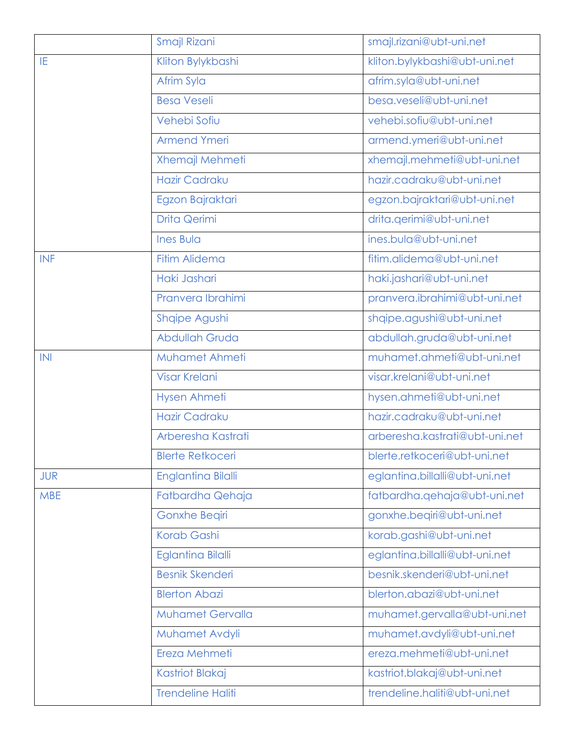|            | Smajl Rizani              | smajl.rizani@ubt-uni.net       |  |
|------------|---------------------------|--------------------------------|--|
| IE         | Kliton Bylykbashi         | kliton.bylykbashi@ubt-uni.net  |  |
|            | Afrim Syla                | afrim.syla@ubt-uni.net         |  |
|            | <b>Besa Veseli</b>        | besa.veseli@ubt-uni.net        |  |
|            | Vehebi Sofiu              | vehebi.sofiu@ubt-uni.net       |  |
|            | <b>Armend Ymeri</b>       | armend.ymeri@ubt-uni.net       |  |
|            | Xhemajl Mehmeti           | xhemajl.mehmeti@ubt-uni.net    |  |
|            | <b>Hazir Cadraku</b>      | hazir.cadraku@ubt-uni.net      |  |
|            | Egzon Bajraktari          | egzon.bajraktari@ubt-uni.net   |  |
|            | Drita Qerimi              | drita.qerimi@ubt-uni.net       |  |
|            | <b>Ines Bula</b>          | ines.bula@ubt-uni.net          |  |
| <b>INF</b> | <b>Fitim Alidema</b>      | fitim.alidema@ubt-uni.net      |  |
|            | Haki Jashari              | haki.jashari@ubt-uni.net       |  |
|            | Pranvera Ibrahimi         | pranvera.ibrahimi@ubt-uni.net  |  |
|            | Shqipe Agushi             | shqipe.agushi@ubt-uni.net      |  |
|            | Abdullah Gruda            | abdullah.gruda@ubt-uni.net     |  |
| INI        | Muhamet Ahmeti            | muhamet.ahmeti@ubt-uni.net     |  |
|            | <b>Visar Krelani</b>      | visar.krelani@ubt-uni.net      |  |
|            | <b>Hysen Ahmeti</b>       | hysen.ahmeti@ubt-uni.net       |  |
|            | <b>Hazir Cadraku</b>      | hazir.cadraku@ubt-uni.net      |  |
|            | Arberesha Kastrati        | arberesha.kastrati@ubt-uni.net |  |
|            | <b>Blerte Retkoceri</b>   | blerte.retkoceri@ubt-uni.net   |  |
| <b>JUR</b> | <b>Englantina Bilalli</b> | eglantina.billalli@ubt-uni.net |  |
| <b>MBE</b> | Fatbardha Qehaja          | fatbardha.qehaja@ubt-uni.net   |  |
|            | Gonxhe Beqiri             | gonxhe.beqiri@ubt-uni.net      |  |
|            | Korab Gashi               | korab.gashi@ubt-uni.net        |  |
|            | <b>Eglantina Bilalli</b>  | eglantina.billalli@ubt-uni.net |  |
|            | <b>Besnik Skenderi</b>    | besnik.skenderi@ubt-uni.net    |  |
|            | <b>Blerton Abazi</b>      | blerton.abazi@ubt-uni.net      |  |
|            | <b>Muhamet Gervalla</b>   | muhamet.gervalla@ubt-uni.net   |  |
|            | Muhamet Avdyli            | muhamet.avdyli@ubt-uni.net     |  |
|            | Ereza Mehmeti             | ereza.mehmeti@ubt-uni.net      |  |
|            | <b>Kastriot Blakaj</b>    | kastriot.blakaj@ubt-uni.net    |  |
|            | <b>Trendeline Haliti</b>  | trendeline.haliti@ubt-uni.net  |  |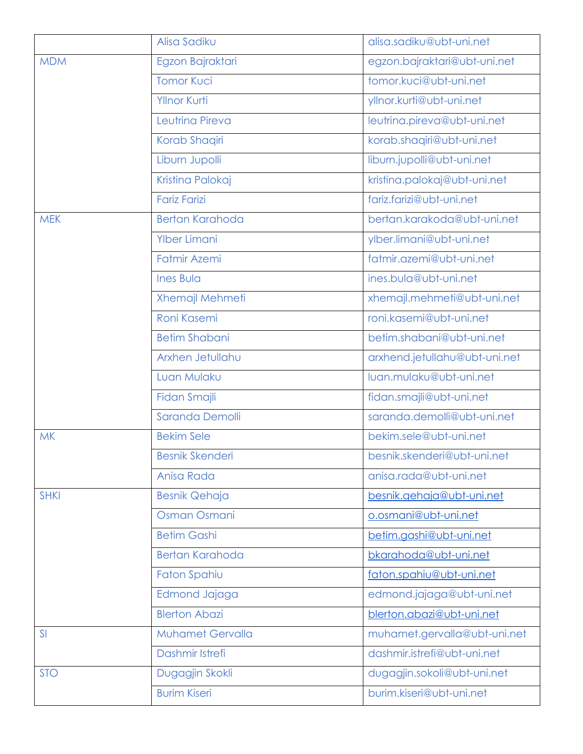|             | Alisa Sadiku            | alisa.sadiku@ubt-uni.net      |  |
|-------------|-------------------------|-------------------------------|--|
| <b>MDM</b>  | Egzon Bajraktari        | egzon.bajraktari@ubt-uni.net  |  |
|             | <b>Tomor Kuci</b>       | tomor.kuci@ubt-uni.net        |  |
|             | <b>Yllnor Kurti</b>     | yllnor.kurti@ubt-uni.net      |  |
|             | Leutrina Pireva         | leutrina.pireva@ubt-uni.net   |  |
|             | Korab Shaqiri           | korab.shaqiri@ubt-uni.net     |  |
|             | Liburn Jupolli          | liburn.jupolli@ubt-uni.net    |  |
|             | Kristina Palokaj        | kristina.palokaj@ubt-uni.net  |  |
|             | <b>Fariz Farizi</b>     | fariz.farizi@ubt-uni.net      |  |
| <b>MEK</b>  | <b>Bertan Karahoda</b>  | bertan.karakoda@ubt-uni.net   |  |
|             | <b>Ylber Limani</b>     | ylber.limani@ubt-uni.net      |  |
|             | <b>Fatmir Azemi</b>     | fatmir.azemi@ubt-uni.net      |  |
|             | <b>Ines Bula</b>        | ines.bula@ubt-uni.net         |  |
|             | Xhemajl Mehmeti         | xhemajl.mehmeti@ubt-uni.net   |  |
|             | Roni Kasemi             | roni.kasemi@ubt-uni.net       |  |
|             | <b>Betim Shabani</b>    | betim.shabani@ubt-uni.net     |  |
|             | Arxhen Jetullahu        | arxhend.jetullahu@ubt-uni.net |  |
|             | Luan Mulaku             | luan.mulaku@ubt-uni.net       |  |
|             | Fidan Smajli            | fidan.smajli@ubt-uni.net      |  |
|             | Saranda Demolli         | saranda.demolli@ubt-uni.net   |  |
| <b>MK</b>   | <b>Bekim Sele</b>       | bekim.sele@ubt-uni.net        |  |
|             | <b>Besnik Skenderi</b>  | besnik.skenderi@ubt-uni.net   |  |
|             | Anisa Rada              | anisa.rada@ubt-uni.net        |  |
| <b>SHKI</b> | <b>Besnik Qehaja</b>    | besnik.gehaja@ubt-uni.net     |  |
|             | Osman Osmani            | o.osmani@ubt-uni.net          |  |
|             | <b>Betim Gashi</b>      | betim.gashi@ubt-uni.net       |  |
|             | Bertan Karahoda         | bkarahoda@ubt-uni.net         |  |
|             | <b>Faton Spahiu</b>     | faton.spahiu@ubt-uni.net      |  |
|             | Edmond Jajaga           | edmond.jajaga@ubt-uni.net     |  |
|             | <b>Blerton Abazi</b>    | blerton.abazi@ubt-uni.net     |  |
| SI          | <b>Muhamet Gervalla</b> | muhamet.gervalla@ubt-uni.net  |  |
|             | Dashmir Istrefi         | dashmir.istrefi@ubt-uni.net   |  |
| <b>STO</b>  | Dugagjin Skokli         | dugagjin.sokoli@ubt-uni.net   |  |
|             | <b>Burim Kiseri</b>     | burim.kiseri@ubt-uni.net      |  |